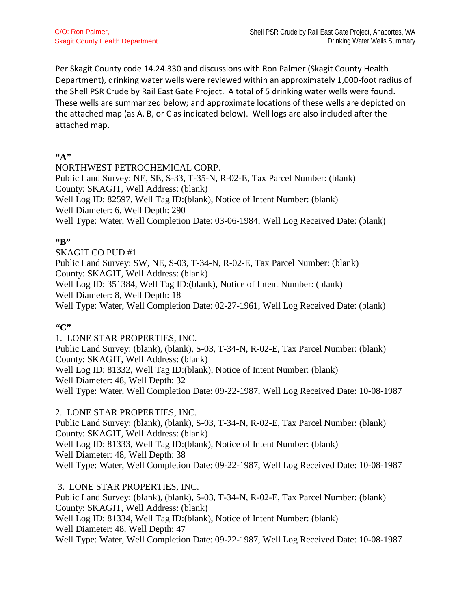Per Skagit County code 14.24.330 and discussions with Ron Palmer (Skagit County Health Department), drinking water wells were reviewed within an approximately 1,000-foot radius of the Shell PSR Crude by Rail East Gate Project. A total of 5 drinking water wells were found. These wells are summarized below; and approximate locations of these wells are depicted on the attached map (as A, B, or C as indicated below). Well logs are also included after the attached map.

### **"A"**

NORTHWEST PETROCHEMICAL CORP. Public Land Survey: NE, SE, S-33, T-35-N, R-02-E, Tax Parcel Number: (blank) County: SKAGIT, Well Address: (blank) Well Log ID: 82597, Well Tag ID:(blank), Notice of Intent Number: (blank) Well Diameter: 6, Well Depth: 290 Well Type: Water, Well Completion Date: 03-06-1984, Well Log Received Date: (blank)

## **"B"**

SKAGIT CO PUD #1 Public Land Survey: SW, NE, S-03, T-34-N, R-02-E, Tax Parcel Number: (blank) County: SKAGIT, Well Address: (blank)

Well Log ID: 351384, Well Tag ID:(blank), Notice of Intent Number: (blank)

Well Diameter: 8, Well Depth: 18

Well Type: Water, Well Completion Date: 02-27-1961, Well Log Received Date: (blank)

## **"C"**

1. LONE STAR PROPERTIES, INC. Public Land Survey: (blank), (blank), S-03, T-34-N, R-02-E, Tax Parcel Number: (blank) County: SKAGIT, Well Address: (blank) Well Log ID: 81332, Well Tag ID:(blank), Notice of Intent Number: (blank) Well Diameter: 48, Well Depth: 32 Well Type: Water, Well Completion Date: 09-22-1987, Well Log Received Date: 10-08-1987

### 2. LONE STAR PROPERTIES, INC.

Public Land Survey: (blank), (blank), S-03, T-34-N, R-02-E, Tax Parcel Number: (blank) County: SKAGIT, Well Address: (blank) Well Log ID: 81333, Well Tag ID:(blank), Notice of Intent Number: (blank) Well Diameter: 48, Well Depth: 38 Well Type: Water, Well Completion Date: 09-22-1987, Well Log Received Date: 10-08-1987

3. LONE STAR PROPERTIES, INC. Public Land Survey: (blank), (blank), S-03, T-34-N, R-02-E, Tax Parcel Number: (blank) County: SKAGIT, Well Address: (blank) Well Log ID: 81334, Well Tag ID:(blank), Notice of Intent Number: (blank) Well Diameter: 48, Well Depth: 47 Well Type: Water, Well Completion Date: 09-22-1987, Well Log Received Date: 10-08-1987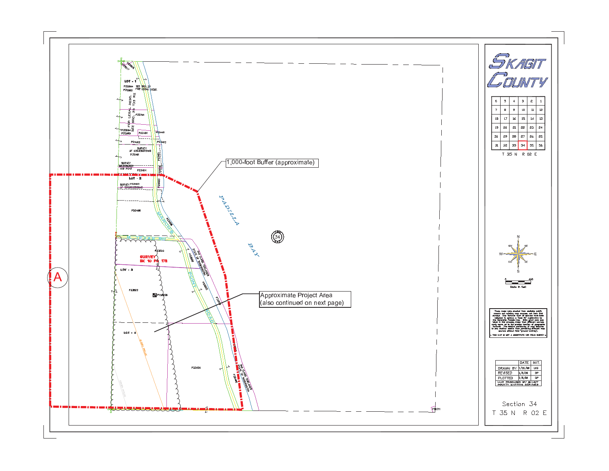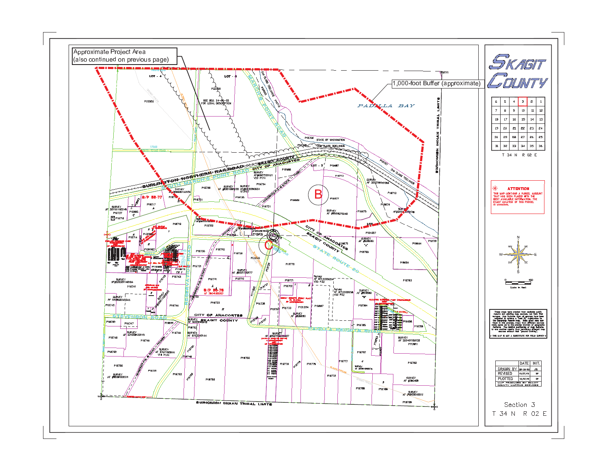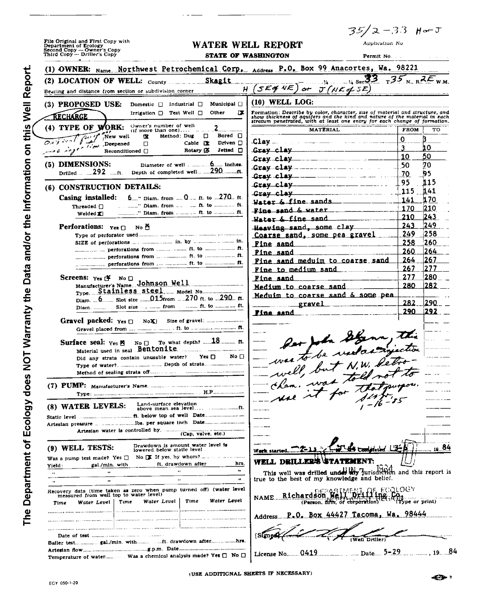File Original and First Copy with<br>Department of Ecology<br>Second Copy — Owner's Copy

# WATER WELL REPORT

 $35/2 - 33$  Her J

Application No

| Third Copy — Driller's Copy                                                                                                                                                         | <b>STATE OF WASHINGTON</b><br><b>Permit No.</b>                                                                                                                                                                                                                                                                     |                          |
|-------------------------------------------------------------------------------------------------------------------------------------------------------------------------------------|---------------------------------------------------------------------------------------------------------------------------------------------------------------------------------------------------------------------------------------------------------------------------------------------------------------------|--------------------------|
| (1) OWNER: Name Northwest Petrochemical Corp. Address P.O. Box 99 Anacortes, Wa. 98221                                                                                              |                                                                                                                                                                                                                                                                                                                     |                          |
| (2) LOCATION OF WELL: $_{\text{Country}}$ Skagit                                                                                                                                    | $\frac{1}{14}$ see 33 $\frac{1}{13}$ $\frac{1}{25}$ $\frac{1}{N}$ $\frac{1}{R}$ $\frac{1}{K}$ $\frac{1}{W}$                                                                                                                                                                                                         |                          |
| н<br>Bearing and distance from section or subdivision corner                                                                                                                        | $5$ Eaf NE $)$<br>or $J(NE d$ SE)                                                                                                                                                                                                                                                                                   |                          |
| (3) PROPOSED USE:<br>Municipal $\Box$<br>Domestic $\Box$ Industrial $\Box$                                                                                                          | $(10)$ WELL LOG:                                                                                                                                                                                                                                                                                                    |                          |
| Irrigation $\Box$ Test Well $\Box$<br>Other<br>Œ<br>RECHARGE                                                                                                                        | Formation: Describe by color, character, size of material and structure, and<br>show thickness of aquifers and the kind and nature of the material in each<br>stratum penetrated, with at least one entry for each change of formation.                                                                             |                          |
| Owner's number of well<br>$(4)$ TYPE OF WORK:<br>$(ii$ more than one) $\ldots$                                                                                                      | <b>MATERIAL</b>                                                                                                                                                                                                                                                                                                     | <b>FROM</b><br>то        |
| Outside Puis New well<br>Bored $\Box$<br>Method: Dug<br>х<br>$\Box$                                                                                                                 | <u>Clay _ _ _ _ _ _ _ _ _ _ _ _ _ _ _ _</u>                                                                                                                                                                                                                                                                         | 0                        |
| Driven □<br>Cable $\mathbf x$<br>Deepened<br>□<br>Rotary D.<br>$Jeltad$ $\Box$<br>Reconditioned []                                                                                  | Gray clay                                                                                                                                                                                                                                                                                                           | 10                       |
|                                                                                                                                                                                     | $G$ rav $clay$ $\ldots$ $\ldots$ $\ldots$                                                                                                                                                                                                                                                                           | 50<br>10                 |
| (5) DIMENSIONS:                                                                                                                                                                     | <b>Crav clay</b> ________________                                                                                                                                                                                                                                                                                   | 70<br>50                 |
|                                                                                                                                                                                     | $G$ ray $clay$ - $  -$                                                                                                                                                                                                                                                                                              | 95<br>70                 |
| (6) CONSTRUCTION DETAILS:                                                                                                                                                           | $Gray$ $clay$ $\frac{1}{1}$                                                                                                                                                                                                                                                                                         | 95<br>115<br>141         |
| Casing installed:<br>$6$ " Diam. from  0 ft. to  270 ft.                                                                                                                            | Grav clay                                                                                                                                                                                                                                                                                                           | 115<br><b>170</b><br>141 |
| Threaded $\Box$                                                                                                                                                                     | Water & fine sands                                                                                                                                                                                                                                                                                                  | 210<br>170               |
| Welded XI                                                                                                                                                                           | $\frac{1}{2}$ $\frac{1}{2}$ $\frac{1}{2}$ $\frac{1}{2}$ $\frac{1}{2}$ $\frac{1}{2}$ $\frac{1}{2}$ $\frac{1}{2}$ $\frac{1}{2}$ $\frac{1}{2}$ $\frac{1}{2}$ $\frac{1}{2}$ $\frac{1}{2}$ $\frac{1}{2}$ $\frac{1}{2}$ $\frac{1}{2}$ $\frac{1}{2}$ $\frac{1}{2}$ $\frac{1}{2}$ $\frac{1}{2}$ $\frac{1}{2}$ $\frac{1}{2}$ | 210<br>243               |
| <b>Perforations:</b> $Yes \Box$<br>No E                                                                                                                                             | Heaving sand, some clay                                                                                                                                                                                                                                                                                             | 249<br>243               |
|                                                                                                                                                                                     | Coarse sand, some pea gravel                                                                                                                                                                                                                                                                                        | 258<br>249               |
|                                                                                                                                                                                     | <u>Fine sand</u>                                                                                                                                                                                                                                                                                                    | 260<br>258               |
|                                                                                                                                                                                     | Fine sand                                                                                                                                                                                                                                                                                                           | 260<br> 264              |
|                                                                                                                                                                                     | Fine sand meduim to coarse sand                                                                                                                                                                                                                                                                                     | 267<br>264<br>277<br>267 |
| Screens: $Y_{es}$ $\uparrow$ No $\Box$                                                                                                                                              | Fine to medium sand                                                                                                                                                                                                                                                                                                 | 277<br>280               |
| Manufacturer's Name Johnson Well                                                                                                                                                    | <u>Fine sand</u><br>Medium to coarse sand                                                                                                                                                                                                                                                                           | 282<br>280               |
| Type Stainless steel Model No Type                                                                                                                                                  | Meduim to coarse sand & some pea                                                                                                                                                                                                                                                                                    |                          |
| Diam. 6. Slot size  015 from  . 270 ft. to  290 ft.                                                                                                                                 | gravel<br>__________                                                                                                                                                                                                                                                                                                | 282.<br>1290             |
|                                                                                                                                                                                     | Fine sand                                                                                                                                                                                                                                                                                                           | 1292<br>290              |
| <b>Gravel packed:</b> $Y_{es}$ $\Box$                                                                                                                                               |                                                                                                                                                                                                                                                                                                                     |                          |
|                                                                                                                                                                                     |                                                                                                                                                                                                                                                                                                                     |                          |
|                                                                                                                                                                                     |                                                                                                                                                                                                                                                                                                                     |                          |
| Material used in seal Bentonite.<br>No $\Box$<br>$Yes \Box$<br>Did any strata contain unusable water?                                                                               |                                                                                                                                                                                                                                                                                                                     |                          |
|                                                                                                                                                                                     | Der John Stann, this                                                                                                                                                                                                                                                                                                |                          |
|                                                                                                                                                                                     |                                                                                                                                                                                                                                                                                                                     |                          |
|                                                                                                                                                                                     | cham. was told                                                                                                                                                                                                                                                                                                      |                          |
|                                                                                                                                                                                     |                                                                                                                                                                                                                                                                                                                     |                          |
| Land-surface elevation<br>(8) WATER LEVELS:                                                                                                                                         |                                                                                                                                                                                                                                                                                                                     |                          |
|                                                                                                                                                                                     |                                                                                                                                                                                                                                                                                                                     |                          |
|                                                                                                                                                                                     |                                                                                                                                                                                                                                                                                                                     |                          |
| (Cap, valve, etc.)                                                                                                                                                                  |                                                                                                                                                                                                                                                                                                                     |                          |
| Drawdown is amount water level is                                                                                                                                                   |                                                                                                                                                                                                                                                                                                                     |                          |
| (9) WELL TESTS:<br>lowered below static level                                                                                                                                       | ∰ Completed…<br>Werk started                                                                                                                                                                                                                                                                                        | $\frac{10.84}{10.5}$     |
| Was a pump test made? Yes $\Box$<br>ft. drawdown after<br>hrs.<br>gal /min. with<br>Yield:                                                                                          | <b>WELL DRILLER'S STATEMENT:</b>                                                                                                                                                                                                                                                                                    |                          |
| <br>$\cdot$<br>$\ddot{\phantom{a}}$                                                                                                                                                 | This well was drilled under My jurisdiction and this report is                                                                                                                                                                                                                                                      |                          |
| 18<br><br>o                                                                                                                                                                         | true to the best of my knowledge and belief.                                                                                                                                                                                                                                                                        |                          |
| Recovery data (time taken as zero when pump turned off) (water level<br>measured from well top to water level)<br>Water <b>Le</b> vel<br>Water Level<br>Time<br>Time<br>Water Level | AF. ECQLOGY<br>Richardson We<br>NAME<br>(Person, firm, of corporation)                                                                                                                                                                                                                                              | Type or print)           |
| Time                                                                                                                                                                                |                                                                                                                                                                                                                                                                                                                     |                          |
|                                                                                                                                                                                     | AddressP.O. Box 44427 Tacoma, Wa. 98444.                                                                                                                                                                                                                                                                            |                          |
|                                                                                                                                                                                     |                                                                                                                                                                                                                                                                                                                     |                          |
|                                                                                                                                                                                     | (Well Driller)                                                                                                                                                                                                                                                                                                      |                          |
|                                                                                                                                                                                     |                                                                                                                                                                                                                                                                                                                     |                          |
|                                                                                                                                                                                     | License No 0419<br>Date                                                                                                                                                                                                                                                                                             | $5 - 29$ 19 $84$         |

(USE ADDITIONAL SHEETS IF NECESSARY)

The Department of Ecology does NOT Warranty the Data and/or the Information on this Well Report.

 $\ddot{\phantom{a}}$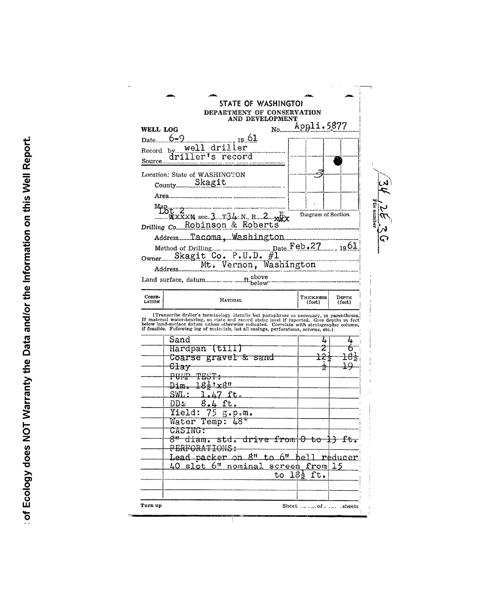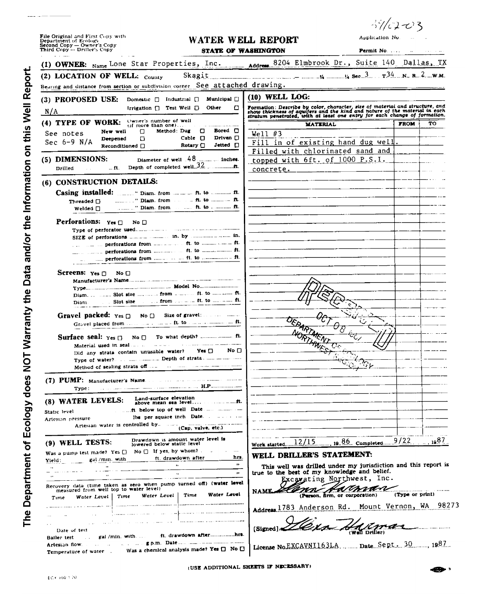| File Original and First Copy with |
|-----------------------------------|
| Department of Ecology             |
| Second Copy - Owner's Copy        |
| Third Copy -- Driller's Copy      |

 $\mathbf{L}$  and  $\mathbf{L}$ 

#### WATER WELL REPORT **STATE OF WASHINGTON**

3%コマ3 Application No.

 $\bar{H}$ 

 $\hat{\mathcal{L}}$  and

 $\blacksquare$ 

 $\bar{\mathcal{A}}$ 

Permit No. . . . .

|                                                                                                                                                                                                                                                     | (1) OWNER: Name Lone Star Properties, Inc. 4ddress 8204 Elmbrook Dr., Suite 140 Dallas, TX                                                                                                                                              |
|-----------------------------------------------------------------------------------------------------------------------------------------------------------------------------------------------------------------------------------------------------|-----------------------------------------------------------------------------------------------------------------------------------------------------------------------------------------------------------------------------------------|
| Skagit<br>(2) LOCATION OF WELL: County                                                                                                                                                                                                              |                                                                                                                                                                                                                                         |
| Bearing and distance from section or subdivision corner. See attached drawing.                                                                                                                                                                      |                                                                                                                                                                                                                                         |
| (3) PROPOSED USE:<br><b>Municipal</b> $\Box$<br>Domestic $\Box$ Industrial $\Box$                                                                                                                                                                   | $(10)$ WELL LOG:                                                                                                                                                                                                                        |
| Irrigation $\Box$ Test Well $\Box$<br>Other<br>α<br>N/A                                                                                                                                                                                             | Formation: Describe by color, character, size of material and structure, and<br>show thickness of aquifers and the kind and nature of the material in each<br>stratum penetrated, with at least one entry for each change of formation. |
| Owner's number of well<br>$(4)$ TYPE OF WORK:<br>$\mathbf{u}$ more than one)<br>Method Dug<br>o<br>Bored $\Box$<br>New well<br>Π<br>See notes<br>Driven □<br>Cable $\Box$<br>Deepened<br>o<br>Sec $6-9$ N/A                                         | тο<br><b>FROM</b><br><b>MATERIAL</b><br>Well $#3$                                                                                                                                                                                       |
| Rotary $\Box$<br>Jetted □<br>Reconditioned $\Box$                                                                                                                                                                                                   | Fill in of existing hand dug well.<br>Filled with chlorinated sand and                                                                                                                                                                  |
| Diameter of well 48  inches.<br>(5) DIMENSIONS:<br>Depth of completed well.32<br>$$ ft.<br>Drilled                                                                                                                                                  | topped with 6ft. of 1000 P.S.I.<br>$concrete.$ _____________                                                                                                                                                                            |
| (6) CONSTRUCTION DETAILS:                                                                                                                                                                                                                           |                                                                                                                                                                                                                                         |
| Casing installed:<br>minimum Plam, from the condition of the minimum ft.<br>Threaded $\Box$<br><b>Excellent Pt. to announce ft.</b><br>" Diam. from<br>Welded □                                                                                     |                                                                                                                                                                                                                                         |
| <b>Perforations:</b> $Y_{est}$<br>No $\Box$                                                                                                                                                                                                         |                                                                                                                                                                                                                                         |
| man and perforations from manufacture of the to manufacture of the                                                                                                                                                                                  |                                                                                                                                                                                                                                         |
|                                                                                                                                                                                                                                                     |                                                                                                                                                                                                                                         |
| Screens: $Yes \n\Box$<br>No <sub>1</sub>                                                                                                                                                                                                            |                                                                                                                                                                                                                                         |
| Slot size and all from an annual ft. to annual man ft.<br>Diam.                                                                                                                                                                                     |                                                                                                                                                                                                                                         |
|                                                                                                                                                                                                                                                     |                                                                                                                                                                                                                                         |
| Surface seal: $\gamma_{es}$ $\Box$<br>$No \nightharpoonup$<br>Material used in seal and an amount of the material material con-                                                                                                                     | <b>MORTHWEST</b>                                                                                                                                                                                                                        |
| No O<br>Yes <b>O</b><br>Did any strata contain unusable water?                                                                                                                                                                                      | $\mathcal{L}_{\mathcal{A}}$                                                                                                                                                                                                             |
| <u> 1999 - Jan James James James James James J</u> ames <b>H.P</b> . 2000 - 2000 - 2000 - 2000 - 2000 - 2000 - 2000 - 2000 - 2000 - 2000 - 2000 - 2000 - 2000 - 2000 - 2000 - 2000 - 2000 - 2000 - 2000 - 2000 - 2000 - 2000 - 2000 - 2000<br>Туре: |                                                                                                                                                                                                                                         |
| Land-surface elevation<br>(8) WATER LEVELS:<br>Static level                                                                                                                                                                                         |                                                                                                                                                                                                                                         |
| Artestan pressure<br>Artesian water is controlled by<br>(Cap, valve, etc.)                                                                                                                                                                          |                                                                                                                                                                                                                                         |
| Drawdown is amount water level is<br>(9) WELL TESTS:<br>lowered below static level                                                                                                                                                                  | Work started                                                                                                                                                                                                                            |
| $No \bigcap$ If yes, by whom?<br>$\cdots$<br>Was a pump test made? Yes $\square$<br>hrs<br>ft. drawdown after<br>gal /min. with<br>Yield :<br>$\bullet$<br>٠.<br>11<br>$\ddot{\phantom{a}}$<br>$\mathbf{r}$                                         | WELL DRILLER'S STATEMENT:<br>This well was drilled under my jurisdiction and this report is<br>true to the best of my knowledge and belief.                                                                                             |
| Recovery data (time taken as zero when pump turned off) (water level<br>measured from well top to water level)<br>Water Level<br>Time<br>Water Level<br>Time<br>Water Level  <br>$T$ ime                                                            | Excavating Northwest, Inc.<br>NAME.<br>(Type or print)<br>(Person, firm, or corporation)                                                                                                                                                |
| .                                                                                                                                                                                                                                                   | 98273<br>Address. 1783 Anderson Rd. Mount Vernon, WA                                                                                                                                                                                    |

[Signed] 216xn Hd  $\mathbb{Z}$ -t

(USE ADDITIONAL SHEETS IF NECESSARY)

..hrt

ft. drawdown after...........

Was a chemical analysis made? Yes  $\square$  No  $\square$ 

**Contract of Date and Service and Service Contract Contract Only 1980** 

Bailer test

Artesian flow.

Date of test

Temperature of water ...

gal /min. with.

 $\sim 10^{11}$  and  $\sim 10^{11}$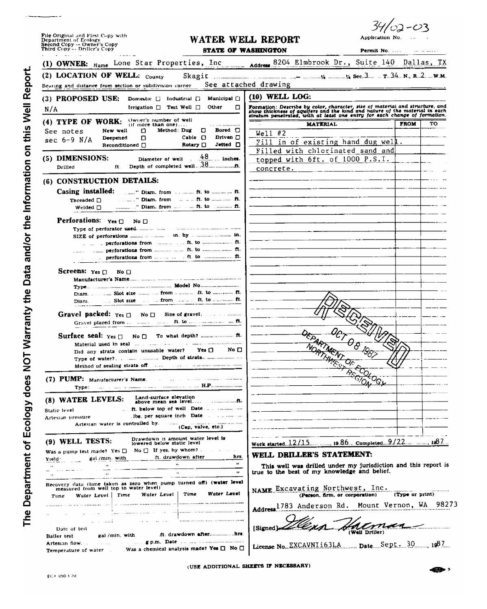| File Original and First Copy with<br>Department of Ecology<br>Second Copy -- Owner's Copy<br>Third Copy -- Driller's Copy                                                                                                      |                                                                | WATER WELL REPORT                                                                                                                                          | Application No.                                |             |    |
|--------------------------------------------------------------------------------------------------------------------------------------------------------------------------------------------------------------------------------|----------------------------------------------------------------|------------------------------------------------------------------------------------------------------------------------------------------------------------|------------------------------------------------|-------------|----|
|                                                                                                                                                                                                                                |                                                                | <b>STATE OF WASHINGTON</b>                                                                                                                                 |                                                |             |    |
| OWNER: Name Lone Star Properties, Inc. Address 8204 Elmbrook Dr., Suite 140 Dallas, TX                                                                                                                                         |                                                                |                                                                                                                                                            |                                                |             |    |
| (2) LOCATION OF WELL: $_{\text{Country}}$                                                                                                                                                                                      |                                                                |                                                                                                                                                            |                                                |             |    |
| Bearing and distance from section or subdivision corner-                                                                                                                                                                       |                                                                | See attached drawing                                                                                                                                       |                                                |             |    |
| (3) PROPOSED USE:<br>Domestic $\Box$ Industrial $\Box$                                                                                                                                                                         | Municipal []                                                   | (10) WELL LOG:                                                                                                                                             |                                                |             |    |
| Irrigation $\Box$ Test Well $\Box$<br>N/A                                                                                                                                                                                      | ο<br>Other                                                     | Formation: Describe by color, character, size of material and structure, and<br>show thickness of aguifers and the kind and nature of the material in each |                                                |             |    |
| Owner's number of well<br>(4) TYPE OF WORK:<br>$(i)$ more than one)                                                                                                                                                            |                                                                | stratum penetrated, with at least one entry for each change of formation.<br><b>MATERIAL</b>                                                               |                                                | <b>FROM</b> | то |
| Method: Dug<br>New well<br>D.<br>See notes                                                                                                                                                                                     | Ω<br>Bored $\Box$                                              | $Well1$ #2                                                                                                                                                 |                                                |             |    |
| 0.<br>Deepened<br>sec 6-9 N/A<br>Reconditioned                                                                                                                                                                                 | Driven $\square$<br>Cable $\Box$<br>Jetted □<br>Rotary $\Box$  | Fill in of existing hand dug well.                                                                                                                         |                                                |             |    |
|                                                                                                                                                                                                                                |                                                                | Filled with chlorinated sand and                                                                                                                           |                                                |             |    |
| (5) DIMENSIONS:<br>Diameter of well                                                                                                                                                                                            | 48<br>inches.                                                  | topped with 6ft. of 1000 P.S.I.                                                                                                                            |                                                |             |    |
| n.<br>Drilled                                                                                                                                                                                                                  |                                                                | concrete.                                                                                                                                                  |                                                |             |    |
| (6) CONSTRUCTION DETAILS:                                                                                                                                                                                                      |                                                                |                                                                                                                                                            |                                                |             |    |
| Casing installed:<br>ment Diam from a sense it to mean on it.                                                                                                                                                                  |                                                                |                                                                                                                                                            |                                                |             |    |
| Threaded $\Box$                                                                                                                                                                                                                |                                                                |                                                                                                                                                            |                                                |             |    |
| Welded $\sqcap$                                                                                                                                                                                                                |                                                                |                                                                                                                                                            |                                                |             |    |
| <b>Perforations:</b> $Yes \Box$<br>No <sub>1</sub>                                                                                                                                                                             |                                                                |                                                                                                                                                            |                                                |             |    |
|                                                                                                                                                                                                                                |                                                                |                                                                                                                                                            |                                                |             |    |
| in the secret perforations from the manner of the to implementation ft.                                                                                                                                                        |                                                                |                                                                                                                                                            |                                                |             |    |
|                                                                                                                                                                                                                                |                                                                |                                                                                                                                                            |                                                |             |    |
| in the competitions from manual and the to minimum of the                                                                                                                                                                      |                                                                |                                                                                                                                                            |                                                |             |    |
| <b>Screens:</b> $Yes \Box$<br>No □                                                                                                                                                                                             |                                                                |                                                                                                                                                            |                                                |             |    |
|                                                                                                                                                                                                                                |                                                                |                                                                                                                                                            |                                                |             |    |
|                                                                                                                                                                                                                                |                                                                |                                                                                                                                                            |                                                |             |    |
|                                                                                                                                                                                                                                |                                                                |                                                                                                                                                            |                                                |             |    |
| Gravel packed: $y_{es \Box}$<br>No <sub>1</sub>                                                                                                                                                                                |                                                                |                                                                                                                                                            |                                                |             |    |
| Gravel placed from  manner at most fit to manufacturer and fit.                                                                                                                                                                |                                                                |                                                                                                                                                            |                                                |             |    |
|                                                                                                                                                                                                                                |                                                                |                                                                                                                                                            |                                                |             |    |
| Surface seal: $Yes \Box$ No $\Box$<br>Material used in seal and a manufacture and a manufacture and manufacture                                                                                                                |                                                                |                                                                                                                                                            | $\theta_{\underline{\partial}}$                |             |    |
| Did any strata contain unusable water? Yes                                                                                                                                                                                     | $N_0$ $\Box$                                                   |                                                                                                                                                            |                                                |             |    |
|                                                                                                                                                                                                                                |                                                                | <b>EPARTMENT</b>                                                                                                                                           |                                                |             |    |
|                                                                                                                                                                                                                                |                                                                |                                                                                                                                                            |                                                |             |    |
| (7) PUMP: Manufacturer's Name. The contraction of the contract of the contract of the contract of the contract of the contract of the contract of the contract of the contract of the contract of the contract of the contract |                                                                |                                                                                                                                                            |                                                |             |    |
|                                                                                                                                                                                                                                |                                                                |                                                                                                                                                            |                                                |             |    |
| Land-surface elevation<br>(8) WATER LEVELS:                                                                                                                                                                                    |                                                                |                                                                                                                                                            |                                                |             |    |
| Static level                                                                                                                                                                                                                   |                                                                |                                                                                                                                                            |                                                |             |    |
| Artesian pressure<br>Artesian water is controlled by.                                                                                                                                                                          | lbs, per square inch. Date                                     |                                                                                                                                                            |                                                |             |    |
|                                                                                                                                                                                                                                | (Cap, valve, etc.)                                             |                                                                                                                                                            |                                                |             |    |
| Drawdown is amount water level is<br>(9) WELL TESTS:<br>lowered below static level                                                                                                                                             |                                                                |                                                                                                                                                            |                                                |             |    |
| Was a pump test made? Yes $\square$ No $\square$ If yes, by whom?                                                                                                                                                              |                                                                |                                                                                                                                                            |                                                |             |    |
| ft. drawdown after<br>gal /mm. with<br>Yıeld                                                                                                                                                                                   | hrs.<br>$\bullet\bullet$                                       | WELL DRILLER'S STATEMENT:                                                                                                                                  |                                                |             |    |
|                                                                                                                                                                                                                                | п.                                                             | This well was drilled under my jurisdiction and this report is<br>true to the best of my knowledge and belief.                                             |                                                |             |    |
| Recovery data (time taken as zero when pump turned off) (water level                                                                                                                                                           |                                                                |                                                                                                                                                            |                                                |             |    |
| measured from well top to water level)                                                                                                                                                                                         |                                                                | NAME Excavating Northwest, Inc.                                                                                                                            |                                                |             |    |
| Water Level   Time<br>Water Level   Time<br>Tune                                                                                                                                                                               | Water Lavel                                                    |                                                                                                                                                            | (Person, firm, or corporation) (Type or print) |             |    |
|                                                                                                                                                                                                                                |                                                                | Address. 1783 Anderson Rd. Mount Vernon, WA 98273                                                                                                          |                                                |             |    |
| and the company of the com-                                                                                                                                                                                                    | سواوستنسوا المتابعة المستنقصة أكالم المتابعة المتابعة والمنافس |                                                                                                                                                            |                                                |             |    |
| Date of test                                                                                                                                                                                                                   |                                                                | [Signed] <i>ad</i> ‰                                                                                                                                       | $\mathcal{H}_{\text{(Well Driller)}}$          |             |    |
| gai / min with<br>Bailer test<br>Artesian flow, and compared the comparing pin. Date and an announcemental                                                                                                                     | .ft. drawdown afterhrs.                                        |                                                                                                                                                            |                                                |             |    |
| <b>Temperature of water</b>                                                                                                                                                                                                    | Was a chemical analysis made? Yes $\square$ No $\square$       | License No. EXCAVNIi63LA Date Sept. 30 1987                                                                                                                |                                                |             |    |

(USE ADDITIONAL SHEETS IF NECESSARY)